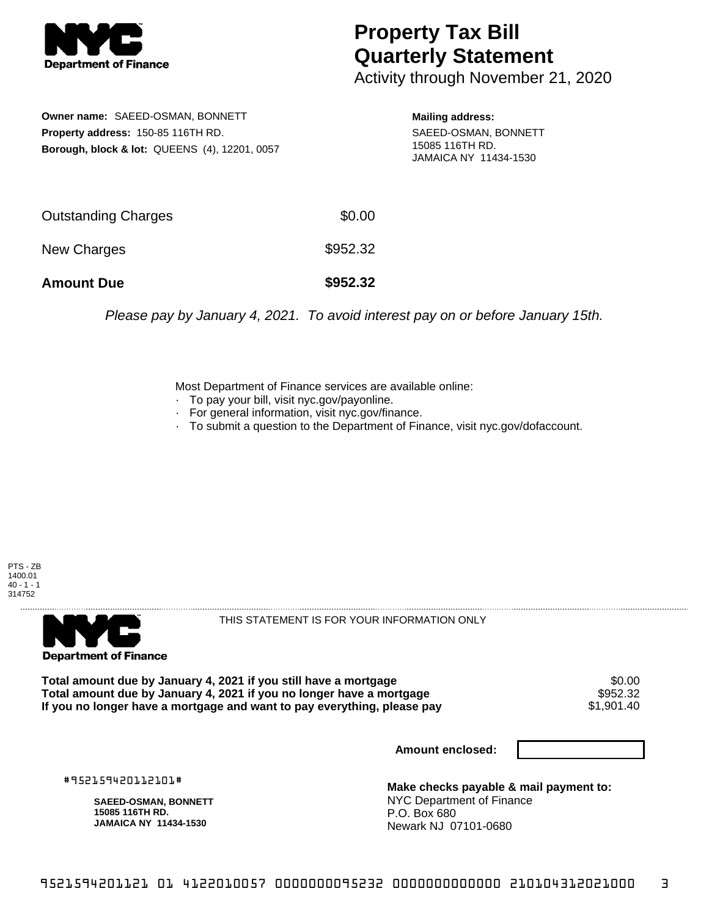

## **Property Tax Bill Quarterly Statement**

Activity through November 21, 2020

**Owner name:** SAEED-OSMAN, BONNETT **Property address:** 150-85 116TH RD. **Borough, block & lot:** QUEENS (4), 12201, 0057

**Mailing address:** SAEED-OSMAN, BONNETT 15085 116TH RD. JAMAICA NY 11434-1530

| <b>Amount Due</b>          | \$952.32 |
|----------------------------|----------|
| New Charges                | \$952.32 |
| <b>Outstanding Charges</b> | \$0.00   |

Please pay by January 4, 2021. To avoid interest pay on or before January 15th.

Most Department of Finance services are available online:

- · To pay your bill, visit nyc.gov/payonline.
- For general information, visit nyc.gov/finance.
- · To submit a question to the Department of Finance, visit nyc.gov/dofaccount.





THIS STATEMENT IS FOR YOUR INFORMATION ONLY

Total amount due by January 4, 2021 if you still have a mortgage \$0.00<br>Total amount due by January 4, 2021 if you no longer have a mortgage \$952.32 **Total amount due by January 4, 2021 if you no longer have a mortgage \$952.32<br>If you no longer have a mortgage and want to pay everything, please pay \$1,901.40** If you no longer have a mortgage and want to pay everything, please pay

**Amount enclosed:**

#952159420112101#

**SAEED-OSMAN, BONNETT 15085 116TH RD. JAMAICA NY 11434-1530**

**Make checks payable & mail payment to:** NYC Department of Finance P.O. Box 680 Newark NJ 07101-0680